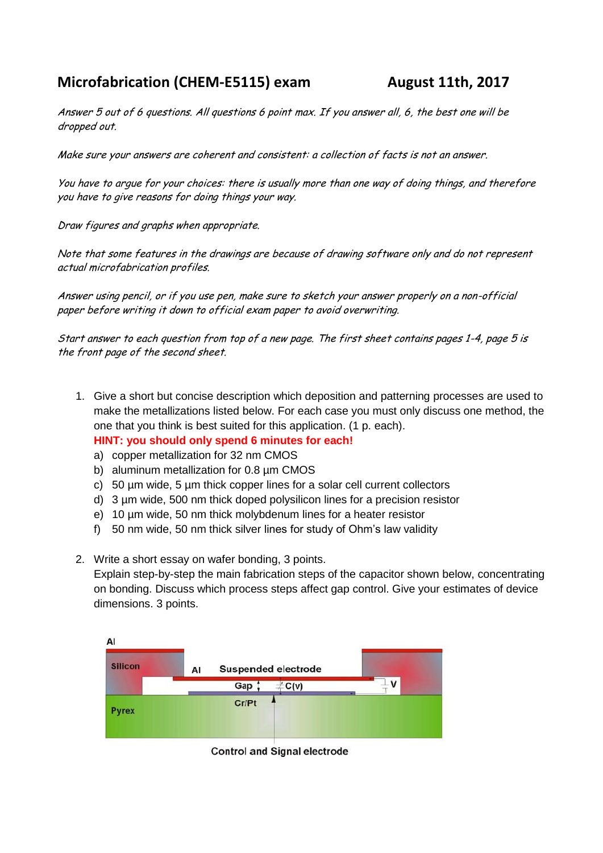## **Microfabrication (CHEM-E5115) exam August 11th, 2017**

Answer 5 out of 6 questions. All questions 6 point max. If you answer all, 6, the best one will be dropped out.

Make sure your answers are coherent and consistent: a collection of facts is not an answer.

You have to argue for your choices: there is usually more than one way of doing things, and therefore you have to give reasons for doing things your way.

Draw figures and graphs when appropriate.

Note that some features in the drawings are because of drawing software only and do not represent actual microfabrication profiles.

Answer using pencil, or if you use pen, make sure to sketch your answer properly on a non-official paper before writing it down to official exam paper to avoid overwriting.

Start answer to each question from top of a new page. The first sheet contains pages 1-4, page 5 is the front page of the second sheet.

- 1. Give a short but concise description which deposition and patterning processes are used to make the metallizations listed below. For each case you must only discuss one method, the one that you think is best suited for this application. (1 p. each). **HINT: you should only spend 6 minutes for each!**
	- a) copper metallization for 32 nm CMOS
	- b) aluminum metallization for 0.8 µm CMOS
	- c) 50 µm wide, 5 µm thick copper lines for a solar cell current collectors
	- d) 3 µm wide, 500 nm thick doped polysilicon lines for a precision resistor
	- e) 10 µm wide, 50 nm thick molybdenum lines for a heater resistor
	- f) 50 nm wide, 50 nm thick silver lines for study of Ohm's law validity
- 2. Write a short essay on wafer bonding, 3 points.

Explain step-by-step the main fabrication steps of the capacitor shown below, concentrating on bonding. Discuss which process steps affect gap control. Give your estimates of device dimensions. 3 points.



**Control and Signal electrode**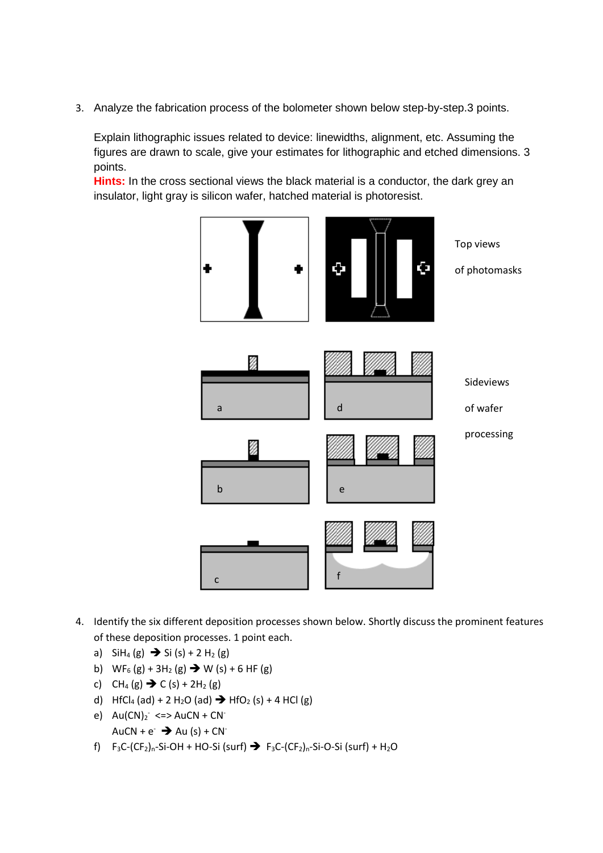3. Analyze the fabrication process of the bolometer shown below step-by-step.3 points.

Explain lithographic issues related to device: linewidths, alignment, etc. Assuming the figures are drawn to scale, give your estimates for lithographic and etched dimensions. 3 points.

**Hints:** In the cross sectional views the black material is a conductor, the dark grey an insulator, light gray is silicon wafer, hatched material is photoresist.



- 4. Identify the six different deposition processes shown below. Shortly discuss the prominent features of these deposition processes. 1 point each.
	- a)  $SH_4(g) \to Si(S) + 2 H_2(g)$
	- b)  $WF_6(g) + 3H_2(g) \rightarrow W(s) + 6 HF(g)$
	- c)  $CH_4(g) \rightarrow C(s) + 2H_2(g)$
	- d) HfCl<sub>4</sub> (ad) + 2 H<sub>2</sub>O (ad)  $\rightarrow$  HfO<sub>2</sub> (s) + 4 HCl (g)
	- e)  $Au(CN)_2$  <=>  $AuCN + CN^-$ AuCN +  $e^{-}$   $\rightarrow$  Au (s) + CN<sup>-</sup>
	- f)  $F_3C-(CF_2)_n-Si-OH + HO-Si$  (surf)  $\rightarrow$   $F_3C-(CF_2)_n-Si-O-Si$  (surf) + H<sub>2</sub>O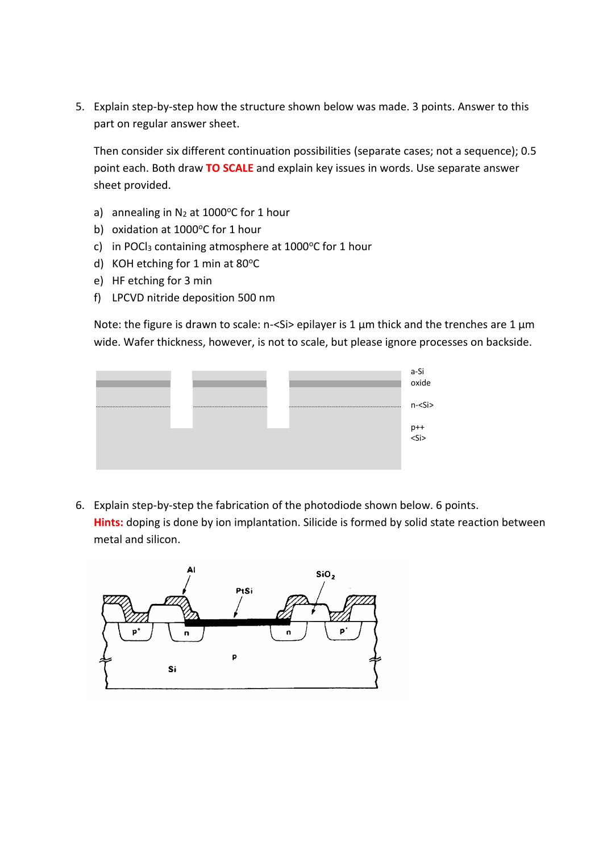5. Explain step-by-step how the structure shown below was made. 3 points. Answer to this part on regular answer sheet.

Then consider six different continuation possibilities (separate cases; not a sequence); 0.5 point each. Both draw **TO SCALE** and explain key issues in words. Use separate answer sheet provided.

- a) annealing in  $N_2$  at 1000 $\degree$ C for 1 hour
- b) oxidation at  $1000^{\circ}$ C for 1 hour
- c) in POCl<sub>3</sub> containing atmosphere at  $1000^{\circ}$ C for 1 hour
- d) KOH etching for 1 min at  $80^{\circ}$ C
- e) HF etching for 3 min
- f) LPCVD nitride deposition 500 nm

Note: the figure is drawn to scale: n-<Si> epilayer is 1  $\mu$ m thick and the trenches are 1  $\mu$ m wide. Wafer thickness, however, is not to scale, but please ignore processes on backside.



6. Explain step-by-step the fabrication of the photodiode shown below. 6 points. **Hints:** doping is done by ion implantation. Silicide is formed by solid state reaction between metal and silicon.

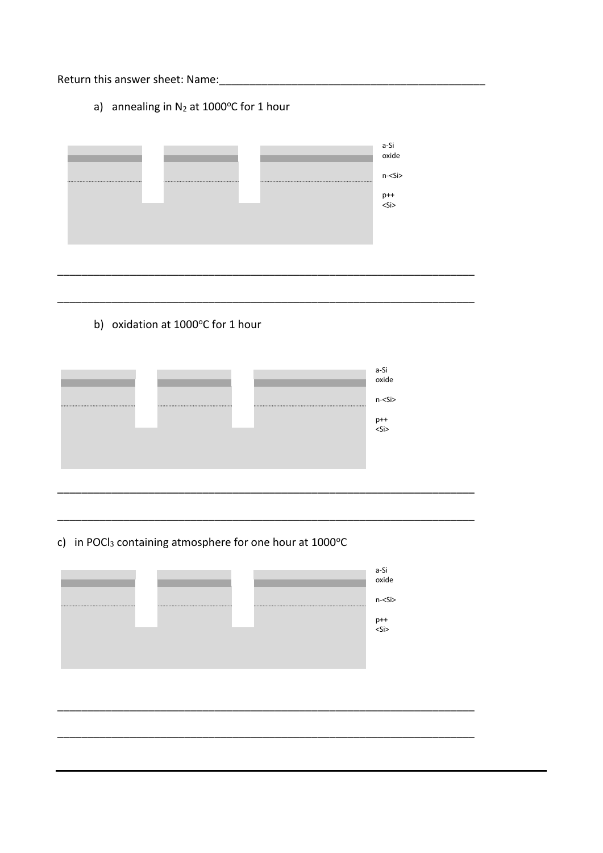Return this answer sheet: Name:

a) annealing in  $N_2$  at 1000°C for 1 hour



b) oxidation at 1000°C for 1 hour



c) in POCl<sub>3</sub> containing atmosphere for one hour at 1000°C